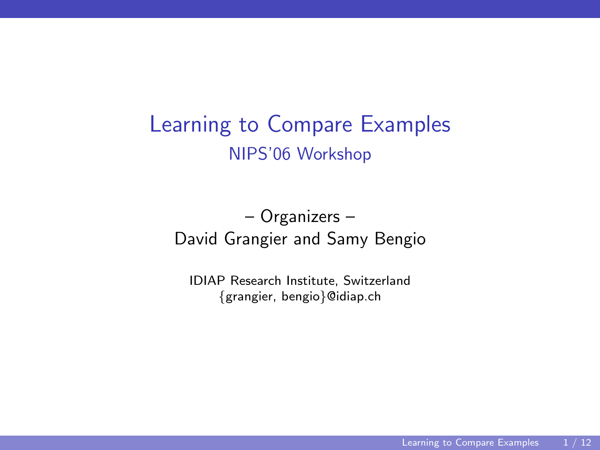# Learning to Compare Examples NIPS'06 Workshop

– Organizers – David Grangier and Samy Bengio

<span id="page-0-0"></span>IDIAP Research Institute, Switzerland {grangier, bengio}@idiap.ch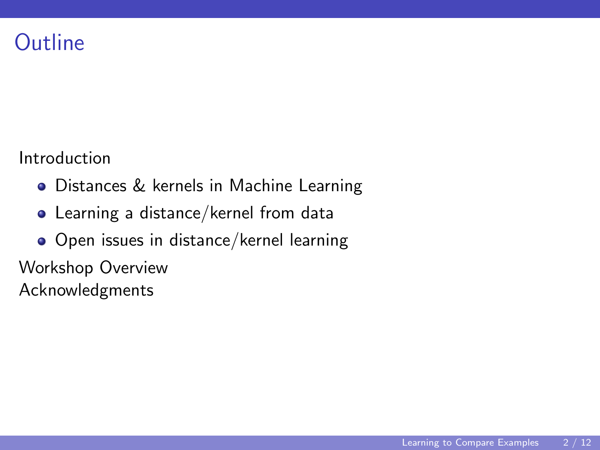#### **Outline**

Introduction

- Distances & kernels in Machine Learning
- Learning a distance/kernel from data
- Open issues in distance/kernel learning

Workshop Overview

Acknowledgments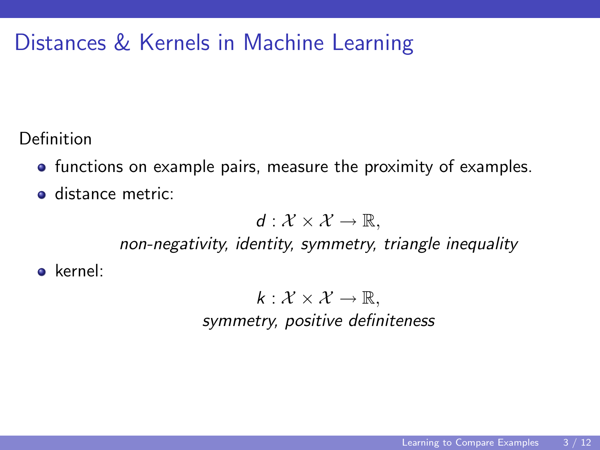## Distances & Kernels in Machine Learning

Definition

- **•** functions on example pairs, measure the proximity of examples.
- **o** distance metric:

 $d: \mathcal{X} \times \mathcal{X} \rightarrow \mathbb{R}$ .

non-negativity, identity, symmetry, triangle inequality

o kernel:

 $k : \mathcal{X} \times \mathcal{X} \rightarrow \mathbb{R}$ , symmetry, positive definiteness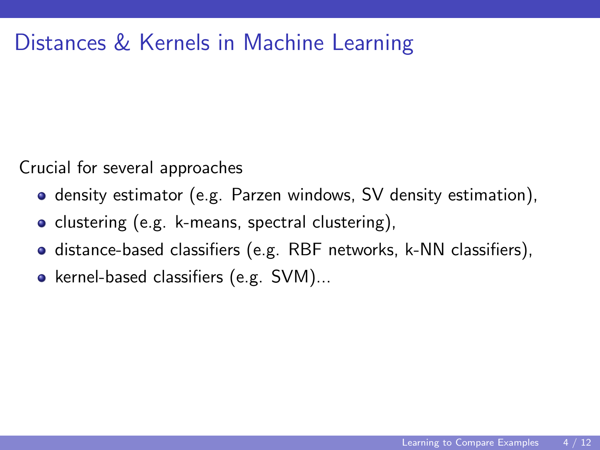### Distances & Kernels in Machine Learning

Crucial for several approaches

- **o** density estimator (e.g. Parzen windows, SV density estimation),
- clustering (e.g. k-means, spectral clustering),
- distance-based classifiers (e.g. RBF networks, k-NN classifiers),
- kernel-based classifiers (e.g.  $SVM$ )...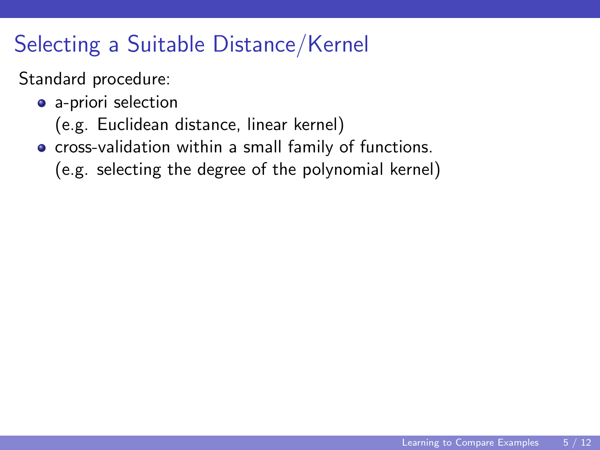# Selecting a Suitable Distance/Kernel

#### Standard procedure:

- a-priori selection
	- (e.g. Euclidean distance, linear kernel)
- **•** cross-validation within a small family of functions.
	- (e.g. selecting the degree of the polynomial kernel)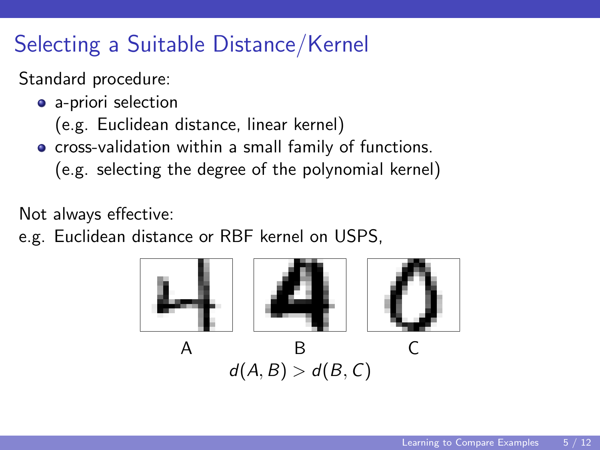# Selecting a Suitable Distance/Kernel

#### Standard procedure:

- a-priori selection
	- (e.g. Euclidean distance, linear kernel)
- **•** cross-validation within a small family of functions.
	- (e.g. selecting the degree of the polynomial kernel)

Not always effective:

e.g. Euclidean distance or RBF kernel on USPS,

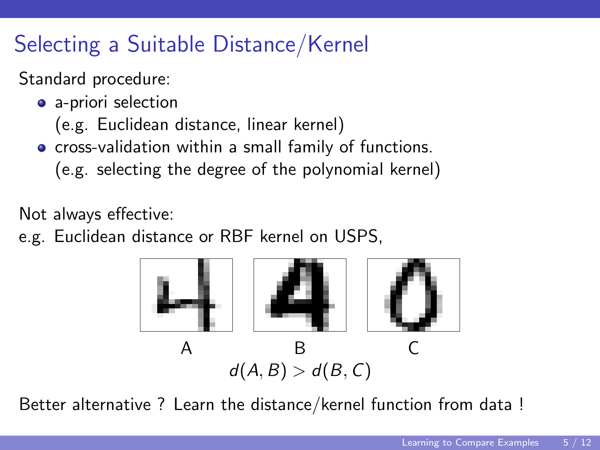# Selecting a Suitable Distance/Kernel

#### Standard procedure:

- a-priori selection
	- (e.g. Euclidean distance, linear kernel)
- **•** cross-validation within a small family of functions.
	- (e.g. selecting the degree of the polynomial kernel)

Not always effective:

e.g. Euclidean distance or RBF kernel on USPS,



Better alternative ? Learn the distance/kernel function from data !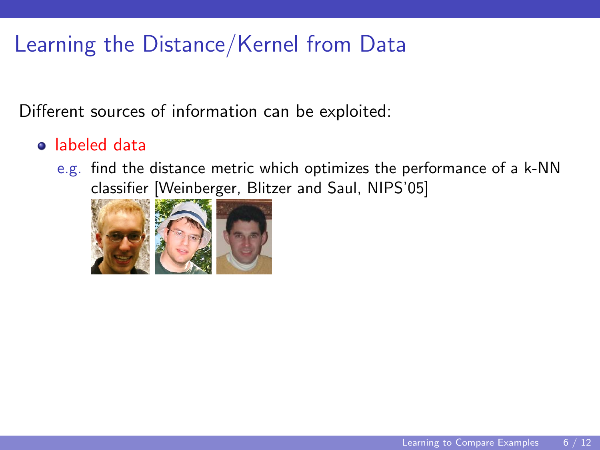Different sources of information can be exploited:

#### labeled data

e.g. find the distance metric which optimizes the performance of a k-NN classifier [Weinberger, Blitzer and Saul, NIPS'05]

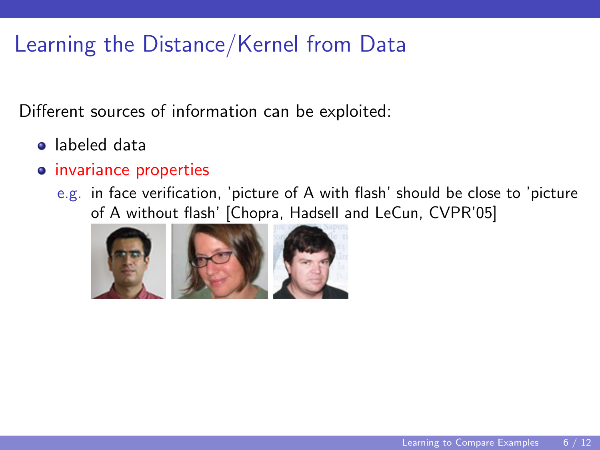- labeled data
- **o** invariance properties
	- e.g. in face verification, 'picture of A with flash' should be close to 'picture of A without flash' [Chopra, Hadsell and LeCun, CVPR'05]

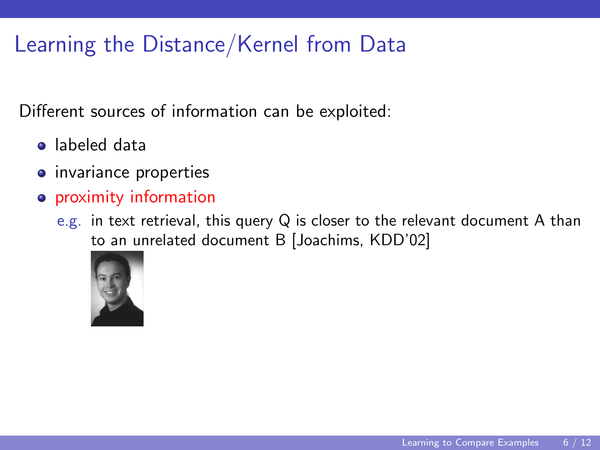- labeled data
- **•** invariance properties
- proximity information
	- e.g. in text retrieval, this query Q is closer to the relevant document A than to an unrelated document B [Joachims, KDD'02]

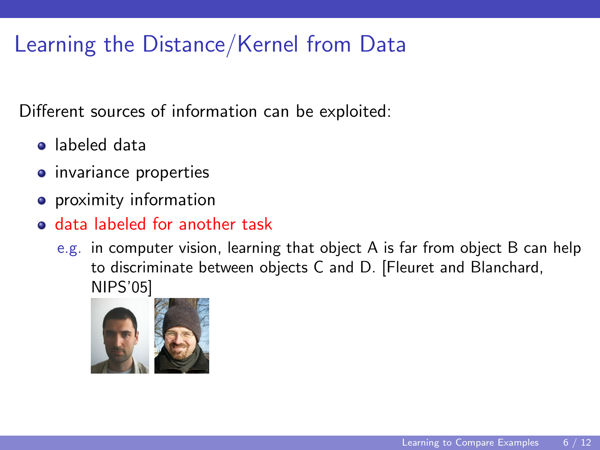- labeled data
- **o** invariance properties
- **•** proximity information
- data labeled for another task
	- e.g. in computer vision, learning that object A is far from object B can help to discriminate between objects C and D. [Fleuret and Blanchard, NIPS'05]

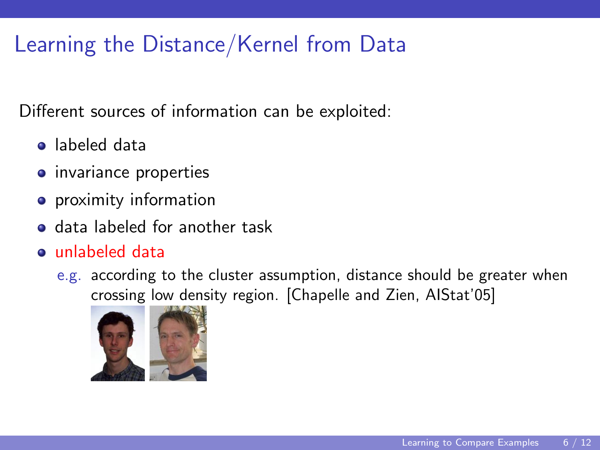- labeled data
- **o** invariance properties
- **•** proximity information
- data labeled for another task
- unlabeled data
	- e.g. according to the cluster assumption, distance should be greater when crossing low density region. [Chapelle and Zien, AIStat'05]

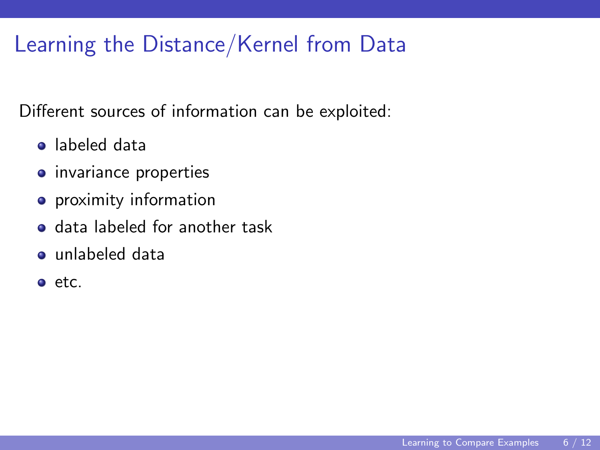- labeled data
- **•** invariance properties
- **•** proximity information
- **o** data labeled for another task
- unlabeled data
- etc.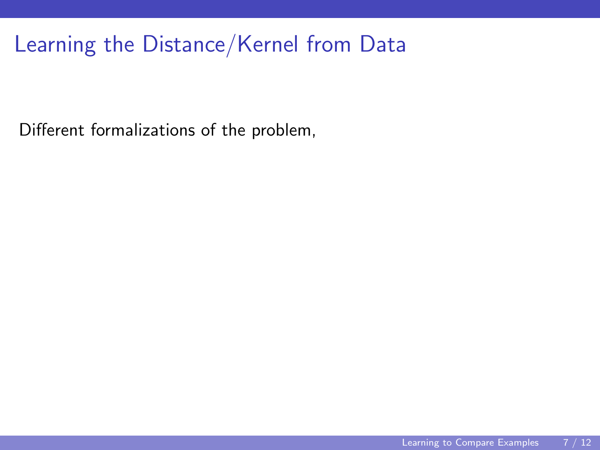Different formalizations of the problem,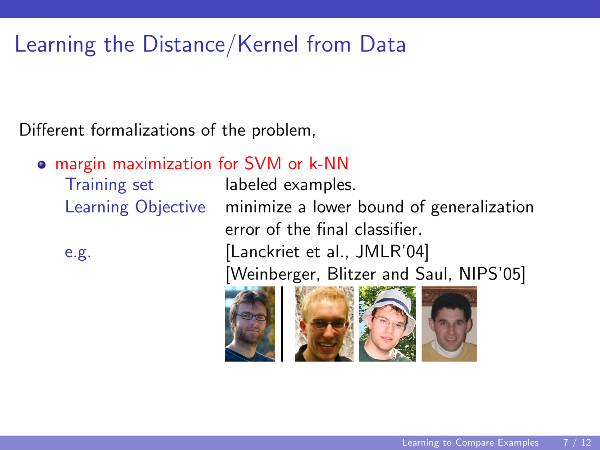Different formalizations of the problem,

margin maximization for SVM or k-NN

Training set labeled examples.

Learning Objective minimize a lower bound of generalization error of the final classifier. e.g. [Lanckriet et al., JMLR'04]

[Weinberger, Blitzer and Saul, NIPS'05]

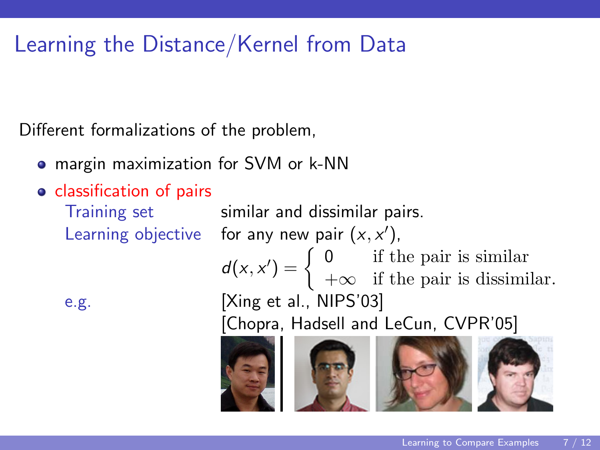Different formalizations of the problem,

- margin maximization for SVM or k-NN
- **o** classification of pairs

Training set similar and dissimilar pairs. Learning objective for any new pair  $(x, x')$ ,  $d(x, x') = \begin{cases} 0 & \text{if the pair is similar} \\ -\log x & \text{if the pair is discim?} \end{cases}$  $+\infty$  if the pair is dissimilar. e.g. [Xing et al., NIPS'03]

[Chopra, Hadsell and LeCun, CVPR'05]





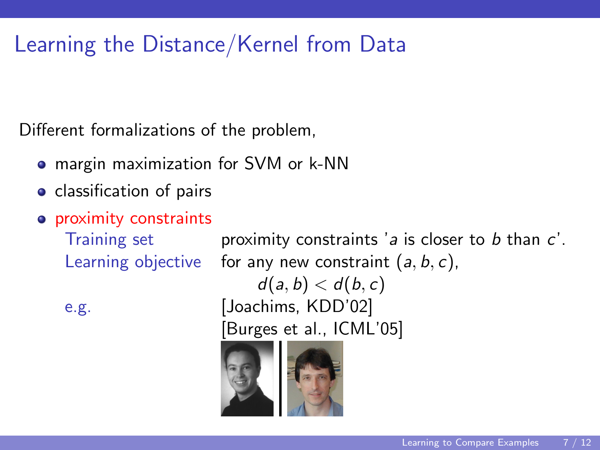Different formalizations of the problem,

- margin maximization for SVM or k-NN
- **o** classification of pairs
- **•** proximity constraints

Training set **proximity constraints**  $a$  is closer to  $b$  than  $c'$ . Learning objective for any new constraint  $(a, b, c)$ ,  $d(a, b) < d(b, c)$ e.g. [Joachims, KDD'02] [Burges et al., ICML'05]

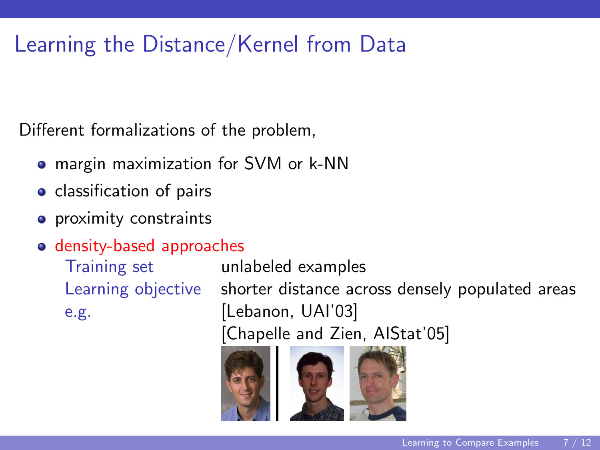Different formalizations of the problem,

- margin maximization for SVM or k-NN
- **o** classification of pairs
- **o** proximity constraints
- density-based approaches

e.g. [Lebanon, UAI'03]

Training set unlabeled examples Learning objective shorter distance across densely populated areas [Chapelle and Zien, AIStat'05]



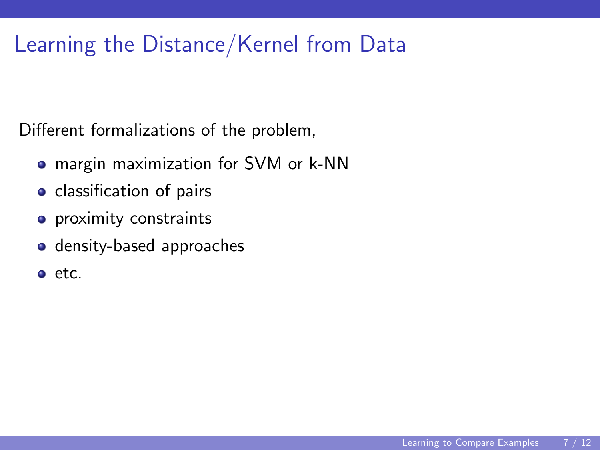Different formalizations of the problem,

- margin maximization for SVM or k-NN
- classification of pairs
- **o** proximity constraints
- **o** density-based approaches
- $e$  etc.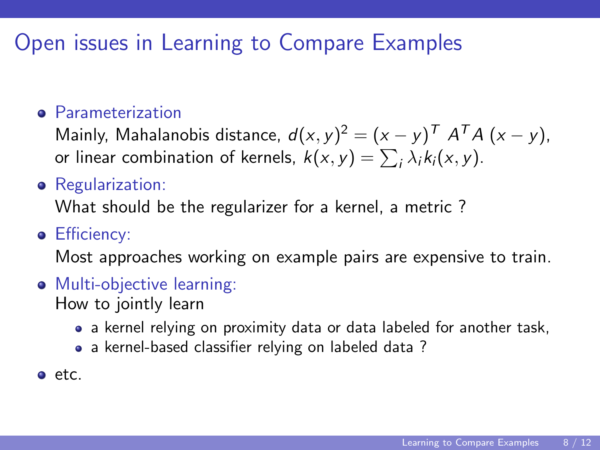## Open issues in Learning to Compare Examples

#### **e** Parameterization

Mainly, Mahalanobis distance,  $d(x, y)^2 = (x - y)^T A^T A (x - y)$ , or linear combination of kernels,  $k(x, y) = \sum_i \lambda_i k_i(x, y)$ .

**•** Regularization:

What should be the regularizer for a kernel, a metric ?

**•** Efficiency:

Most approaches working on example pairs are expensive to train.

- **•** Multi-objective learning: How to jointly learn
	- a kernel relying on proximity data or data labeled for another task,
	- a kernel-based classifier relying on labeled data?
- etc.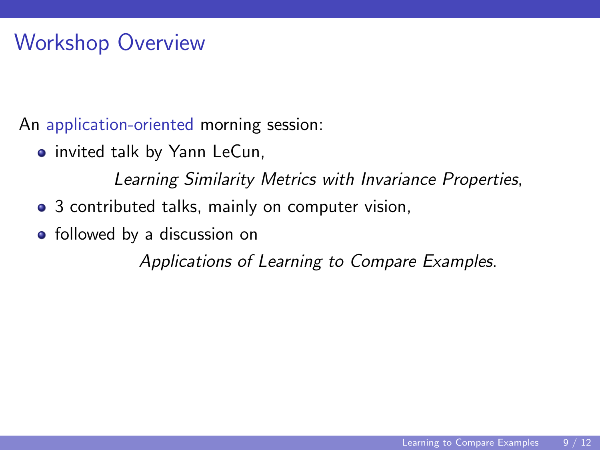## Workshop Overview

An application-oriented morning session:

**•** invited talk by Yann LeCun,

Learning Similarity Metrics with Invariance Properties,

- 3 contributed talks, mainly on computer vision,
- followed by a discussion on

Applications of Learning to Compare Examples.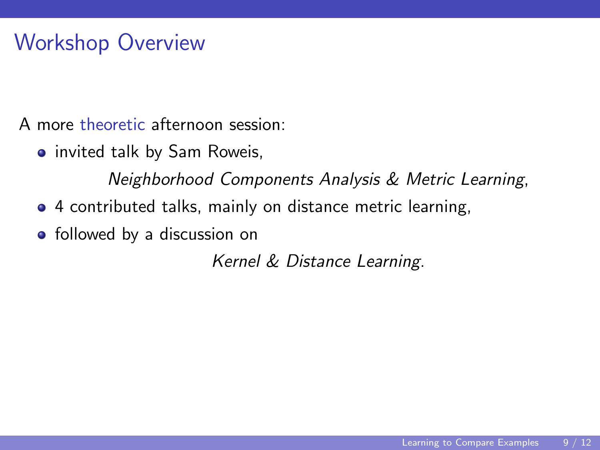# Workshop Overview

A more theoretic afternoon session:

**•** invited talk by Sam Roweis,

Neighborhood Components Analysis & Metric Learning,

- 4 contributed talks, mainly on distance metric learning,
- followed by a discussion on

Kernel & Distance Learning.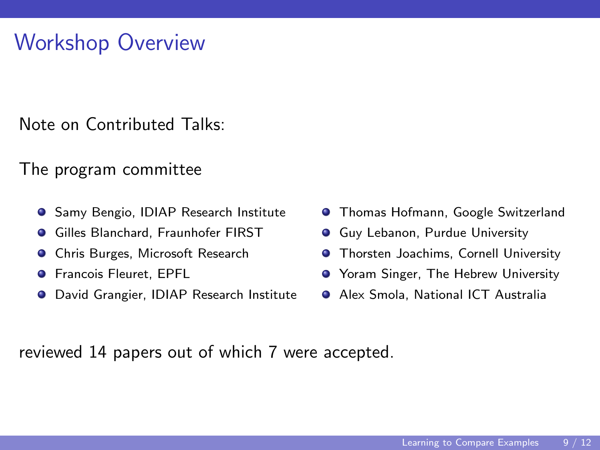### Workshop Overview

Note on Contributed Talks:

#### The program committee

- **Samy Bengio, IDIAP Research Institute**
- $\bullet$ Gilles Blanchard, Fraunhofer FIRST
- **O** Chris Burges, Microsoft Research
- Francois Fleuret, EPFL  $\bullet$
- David Grangier, IDIAP Research Institute  $\bullet$
- **O** Thomas Hofmann, Google Switzerland
- **Guy Lebanon, Purdue University**
- **Thorsten Joachims, Cornell University**
- **•** Yoram Singer, The Hebrew University
- Alex Smola, National ICT Australia

reviewed 14 papers out of which 7 were accepted.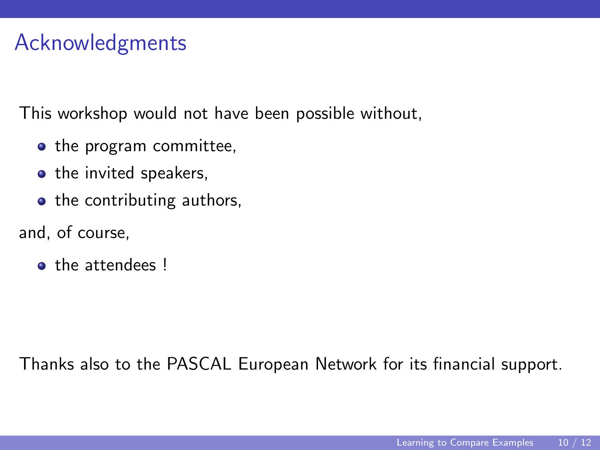# Acknowledgments

This workshop would not have been possible without,

- the program committee,
- the invited speakers,
- the contributing authors,
- and, of course,
	- the attendees !

Thanks also to the PASCAL European Network for its financial support.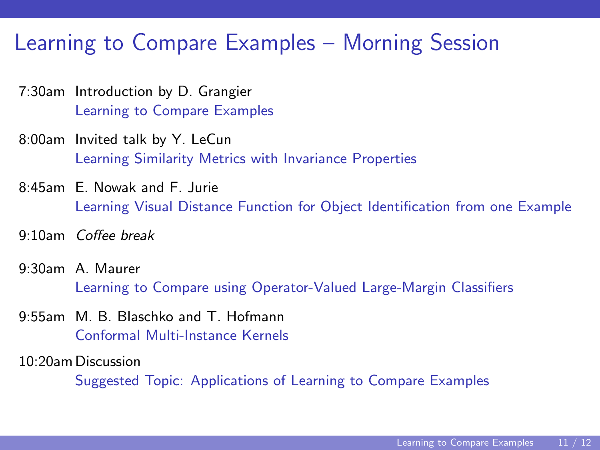#### Learning to Compare Examples – Morning Session

- 7:30am Introduction by D. Grangier Learning to Compare Examples
- 8:00am Invited talk by Y. LeCun Learning Similarity Metrics with Invariance Properties
- 8:45am E. Nowak and F. Jurie Learning Visual Distance Function for Object Identification from one Example
- 9:10am Coffee break
- 9:30am A. Maurer Learning to Compare using Operator-Valued Large-Margin Classifiers
- 9:55am M. B. Blaschko and T. Hofmann Conformal Multi-Instance Kernels
- 10:20am Discussion

Suggested Topic: Applications of Learning to Compare Examples